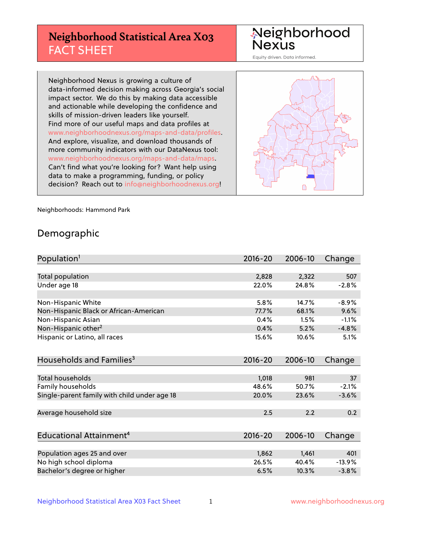## **Neighborhood Statistical Area X03** FACT SHEET

Neighborhood Nexus

Equity driven. Data informed.

Neighborhood Nexus is growing a culture of data-informed decision making across Georgia's social impact sector. We do this by making data accessible and actionable while developing the confidence and skills of mission-driven leaders like yourself. Find more of our useful maps and data profiles at www.neighborhoodnexus.org/maps-and-data/profiles. And explore, visualize, and download thousands of more community indicators with our DataNexus tool: www.neighborhoodnexus.org/maps-and-data/maps. Can't find what you're looking for? Want help using data to make a programming, funding, or policy decision? Reach out to [info@neighborhoodnexus.org!](mailto:info@neighborhoodnexus.org)



Neighborhoods: Hammond Park

### Demographic

| Population <sup>1</sup>                      | $2016 - 20$ | 2006-10 | Change   |
|----------------------------------------------|-------------|---------|----------|
|                                              |             |         |          |
| Total population                             | 2,828       | 2,322   | 507      |
| Under age 18                                 | 22.0%       | 24.8%   | $-2.8%$  |
|                                              |             |         |          |
| Non-Hispanic White                           | 5.8%        | 14.7%   | $-8.9%$  |
| Non-Hispanic Black or African-American       | 77.7%       | 68.1%   | 9.6%     |
| Non-Hispanic Asian                           | 0.4%        | 1.5%    | $-1.1%$  |
| Non-Hispanic other <sup>2</sup>              | 0.4%        | 5.2%    | $-4.8%$  |
| Hispanic or Latino, all races                | 15.6%       | 10.6%   | 5.1%     |
|                                              |             |         |          |
| Households and Families <sup>3</sup>         | $2016 - 20$ | 2006-10 | Change   |
|                                              |             |         |          |
| <b>Total households</b>                      | 1,018       | 981     | 37       |
| Family households                            | 48.6%       | 50.7%   | $-2.1%$  |
| Single-parent family with child under age 18 | 20.0%       | 23.6%   | $-3.6%$  |
|                                              |             |         |          |
| Average household size                       | 2.5         | 2.2     | 0.2      |
|                                              |             |         |          |
| Educational Attainment <sup>4</sup>          | $2016 - 20$ | 2006-10 | Change   |
|                                              |             |         |          |
| Population ages 25 and over                  | 1,862       | 1,461   | 401      |
| No high school diploma                       | 26.5%       | 40.4%   | $-13.9%$ |
| Bachelor's degree or higher                  | 6.5%        | 10.3%   | $-3.8%$  |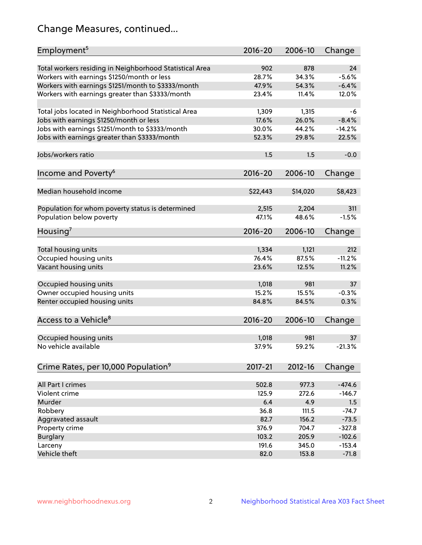## Change Measures, continued...

| Employment <sup>5</sup>                                                                               | $2016 - 20$  | 2006-10      | Change        |
|-------------------------------------------------------------------------------------------------------|--------------|--------------|---------------|
|                                                                                                       |              |              |               |
| Total workers residing in Neighborhood Statistical Area<br>Workers with earnings \$1250/month or less | 902<br>28.7% | 878<br>34.3% | 24<br>$-5.6%$ |
|                                                                                                       | 47.9%        | 54.3%        | $-6.4%$       |
| Workers with earnings \$1251/month to \$3333/month                                                    | 23.4%        | 11.4%        | 12.0%         |
| Workers with earnings greater than \$3333/month                                                       |              |              |               |
| Total jobs located in Neighborhood Statistical Area                                                   | 1,309        | 1,315        | -6            |
| Jobs with earnings \$1250/month or less                                                               | 17.6%        | 26.0%        | $-8.4%$       |
| Jobs with earnings \$1251/month to \$3333/month                                                       | 30.0%        | 44.2%        | $-14.2%$      |
| Jobs with earnings greater than \$3333/month                                                          | 52.3%        | 29.8%        | 22.5%         |
|                                                                                                       |              |              |               |
| Jobs/workers ratio                                                                                    | 1.5          | 1.5          | $-0.0$        |
|                                                                                                       |              |              |               |
| Income and Poverty <sup>6</sup>                                                                       | 2016-20      | 2006-10      | Change        |
|                                                                                                       |              |              |               |
| Median household income                                                                               | \$22,443     | \$14,020     | \$8,423       |
|                                                                                                       |              |              |               |
| Population for whom poverty status is determined                                                      | 2,515        | 2,204        | 311           |
| Population below poverty                                                                              | 47.1%        | 48.6%        | $-1.5%$       |
| Housing <sup>7</sup>                                                                                  | $2016 - 20$  | 2006-10      | Change        |
|                                                                                                       |              |              |               |
| Total housing units                                                                                   | 1,334        | 1,121        | 212           |
| Occupied housing units                                                                                | 76.4%        | 87.5%        | $-11.2%$      |
| Vacant housing units                                                                                  | 23.6%        | 12.5%        | 11.2%         |
|                                                                                                       |              |              |               |
| Occupied housing units                                                                                | 1,018        | 981          | 37            |
| Owner occupied housing units                                                                          | 15.2%        | 15.5%        | $-0.3%$       |
| Renter occupied housing units                                                                         | 84.8%        | 84.5%        | 0.3%          |
|                                                                                                       |              |              |               |
| Access to a Vehicle <sup>8</sup>                                                                      | $2016 - 20$  | 2006-10      | Change        |
|                                                                                                       |              |              |               |
| Occupied housing units                                                                                | 1,018        | 981          | 37            |
| No vehicle available                                                                                  | 37.9%        | 59.2%        | $-21.3%$      |
| Crime Rates, per 10,000 Population <sup>9</sup>                                                       | 2017-21      | 2012-16      |               |
|                                                                                                       |              |              | Change        |
| All Part I crimes                                                                                     | 502.8        | 977.3        | $-474.6$      |
| Violent crime                                                                                         | 125.9        | 272.6        | $-146.7$      |
| Murder                                                                                                | 6.4          | 4.9          | 1.5           |
| Robbery                                                                                               | 36.8         | 111.5        | $-74.7$       |
| Aggravated assault                                                                                    | 82.7         | 156.2        | $-73.5$       |
| Property crime                                                                                        | 376.9        | 704.7        | $-327.8$      |
| <b>Burglary</b>                                                                                       | 103.2        | 205.9        | $-102.6$      |
| Larceny                                                                                               | 191.6        | 345.0        | $-153.4$      |
| Vehicle theft                                                                                         | 82.0         | 153.8        | $-71.8$       |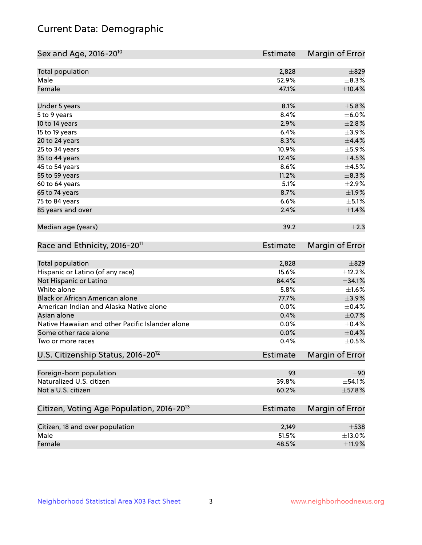## Current Data: Demographic

| Sex and Age, 2016-20 <sup>10</sup>                    | <b>Estimate</b> | Margin of Error        |
|-------------------------------------------------------|-----------------|------------------------|
| Total population                                      | 2,828           | $\pm$ 829              |
| Male                                                  | 52.9%           | $\pm$ 8.3%             |
| Female                                                | 47.1%           | $\pm$ 10.4%            |
| Under 5 years                                         | 8.1%            | $\pm$ 5.8%             |
| 5 to 9 years                                          | 8.4%            | $\pm$ 6.0%             |
| 10 to 14 years                                        | 2.9%            | $\pm 2.8\%$            |
| 15 to 19 years                                        | 6.4%            | $\pm$ 3.9%             |
| 20 to 24 years                                        | 8.3%            | $\pm$ 4.4%             |
| 25 to 34 years                                        | 10.9%           | $\pm$ 5.9%             |
| 35 to 44 years                                        | 12.4%           | $\pm 4.5\%$            |
| 45 to 54 years                                        | 8.6%            | $\pm$ 4.5%             |
| 55 to 59 years                                        | 11.2%           | $\pm$ 8.3%             |
| 60 to 64 years                                        | 5.1%            | $\pm 2.9\%$            |
| 65 to 74 years                                        | 8.7%            | ±1.9%                  |
| 75 to 84 years                                        | 6.6%            | $\pm$ 5.1%             |
| 85 years and over                                     | 2.4%            | ±1.4%                  |
| Median age (years)                                    | 39.2            | $\pm 2.3$              |
| Race and Ethnicity, 2016-20 <sup>11</sup>             | <b>Estimate</b> | Margin of Error        |
| Total population                                      | 2,828           | $\pm$ 829              |
| Hispanic or Latino (of any race)                      | 15.6%           | ±12.2%                 |
| Not Hispanic or Latino                                | 84.4%           | ±34.1%                 |
| White alone                                           | 5.8%            | $\pm 1.6\%$            |
| Black or African American alone                       | 77.7%           | $\pm$ 3.9%             |
| American Indian and Alaska Native alone               | 0.0%            | $\pm$ 0.4%             |
| Asian alone                                           | 0.4%            | $\pm$ 0.7%             |
| Native Hawaiian and other Pacific Islander alone      | 0.0%            | $\pm$ 0.4%             |
| Some other race alone                                 | 0.0%            | $\pm$ 0.4%             |
| Two or more races                                     | 0.4%            | $\pm$ 0.5%             |
| U.S. Citizenship Status, 2016-20 <sup>12</sup>        | <b>Estimate</b> | <b>Margin of Error</b> |
| Foreign-born population                               | 93              | ±90                    |
| Naturalized U.S. citizen                              | 39.8%           | $\pm$ 54.1%            |
| Not a U.S. citizen                                    | 60.2%           | $\pm$ 57.8%            |
| Citizen, Voting Age Population, 2016-20 <sup>13</sup> | <b>Estimate</b> | Margin of Error        |
| Citizen, 18 and over population                       | 2,149           | $\pm$ 538              |
| Male                                                  | 51.5%           | $\pm$ 13.0%            |
| Female                                                | 48.5%           | $\pm$ 11.9%            |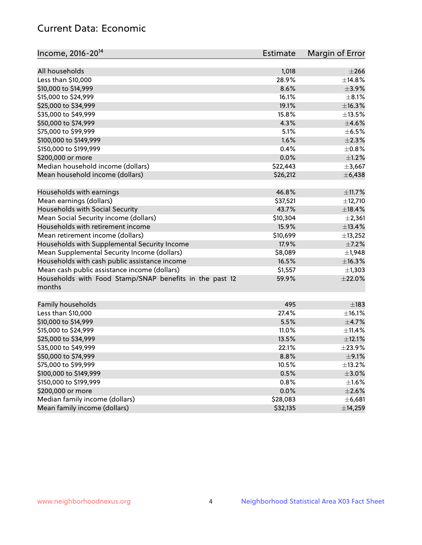## Current Data: Economic

| All households<br>$\pm 266$<br>1,018<br>28.9%<br>Less than \$10,000<br>±14.8%<br>8.6%<br>\$10,000 to \$14,999<br>$\pm$ 3.9%<br>\$15,000 to \$24,999<br>16.1%<br>$\pm$ 8.1%<br>\$25,000 to \$34,999<br>19.1%<br>±16.3%<br>15.8%<br>$\pm$ 13.5%<br>\$35,000 to \$49,999<br>\$50,000 to \$74,999<br>4.3%<br>$\pm 4.6\%$<br>\$75,000 to \$99,999<br>$\pm$ 6.5%<br>5.1% |
|--------------------------------------------------------------------------------------------------------------------------------------------------------------------------------------------------------------------------------------------------------------------------------------------------------------------------------------------------------------------|
|                                                                                                                                                                                                                                                                                                                                                                    |
|                                                                                                                                                                                                                                                                                                                                                                    |
|                                                                                                                                                                                                                                                                                                                                                                    |
|                                                                                                                                                                                                                                                                                                                                                                    |
|                                                                                                                                                                                                                                                                                                                                                                    |
|                                                                                                                                                                                                                                                                                                                                                                    |
|                                                                                                                                                                                                                                                                                                                                                                    |
|                                                                                                                                                                                                                                                                                                                                                                    |
|                                                                                                                                                                                                                                                                                                                                                                    |
| 1.6%<br>$\pm 2.3\%$<br>\$100,000 to \$149,999                                                                                                                                                                                                                                                                                                                      |
| 0.4%<br>$\pm$ 0.8%<br>\$150,000 to \$199,999                                                                                                                                                                                                                                                                                                                       |
| $\pm 1.2\%$<br>\$200,000 or more<br>0.0%                                                                                                                                                                                                                                                                                                                           |
| Median household income (dollars)<br>\$22,443<br>±3,667                                                                                                                                                                                                                                                                                                            |
| Mean household income (dollars)<br>\$26,212<br>± 6,438                                                                                                                                                                                                                                                                                                             |
| Households with earnings<br>46.8%<br>±11.7%                                                                                                                                                                                                                                                                                                                        |
| Mean earnings (dollars)<br>\$37,521<br>±12,710                                                                                                                                                                                                                                                                                                                     |
| Households with Social Security<br>43.7%<br>±18.4%                                                                                                                                                                                                                                                                                                                 |
| Mean Social Security income (dollars)<br>\$10,304<br>$\pm 2,361$                                                                                                                                                                                                                                                                                                   |
| Households with retirement income<br>15.9%<br>±13.4%                                                                                                                                                                                                                                                                                                               |
| Mean retirement income (dollars)<br>\$10,699<br>±13,252                                                                                                                                                                                                                                                                                                            |
| Households with Supplemental Security Income<br>17.9%<br>$\pm$ 7.2%                                                                                                                                                                                                                                                                                                |
| \$8,089<br>Mean Supplemental Security Income (dollars)<br>$\pm$ 1,948                                                                                                                                                                                                                                                                                              |
| Households with cash public assistance income<br>16.5%<br>±16.3%                                                                                                                                                                                                                                                                                                   |
| Mean cash public assistance income (dollars)<br>\$1,557<br>$\pm$ 1,303                                                                                                                                                                                                                                                                                             |
| $\pm 22.0\%$<br>Households with Food Stamp/SNAP benefits in the past 12<br>59.9%                                                                                                                                                                                                                                                                                   |
| months                                                                                                                                                                                                                                                                                                                                                             |
| Family households<br>495<br>$\pm$ 183                                                                                                                                                                                                                                                                                                                              |
| Less than \$10,000<br>27.4%<br>$\pm$ 16.1%                                                                                                                                                                                                                                                                                                                         |
| $\pm$ 4.7%<br>\$10,000 to \$14,999<br>5.5%                                                                                                                                                                                                                                                                                                                         |
| \$15,000 to \$24,999<br>11.0%<br>$\pm$ 11.4%                                                                                                                                                                                                                                                                                                                       |
| ±12.1%<br>\$25,000 to \$34,999<br>13.5%                                                                                                                                                                                                                                                                                                                            |
| \$35,000 to \$49,999<br>22.1%<br>±23.9%                                                                                                                                                                                                                                                                                                                            |
| \$50,000 to \$74,999<br>8.8%<br>$\pm$ 9.1%                                                                                                                                                                                                                                                                                                                         |
| \$75,000 to \$99,999<br>10.5%<br>±13.2%                                                                                                                                                                                                                                                                                                                            |
| \$100,000 to \$149,999<br>0.5%<br>$\pm 3.0\%$                                                                                                                                                                                                                                                                                                                      |
| \$150,000 to \$199,999<br>0.8%<br>$\pm 1.6\%$                                                                                                                                                                                                                                                                                                                      |
| \$200,000 or more<br>0.0%<br>$\pm 2.6\%$                                                                                                                                                                                                                                                                                                                           |
| Median family income (dollars)<br>\$28,083<br>±6,681                                                                                                                                                                                                                                                                                                               |
| Mean family income (dollars)<br>\$32,135<br>±14,259                                                                                                                                                                                                                                                                                                                |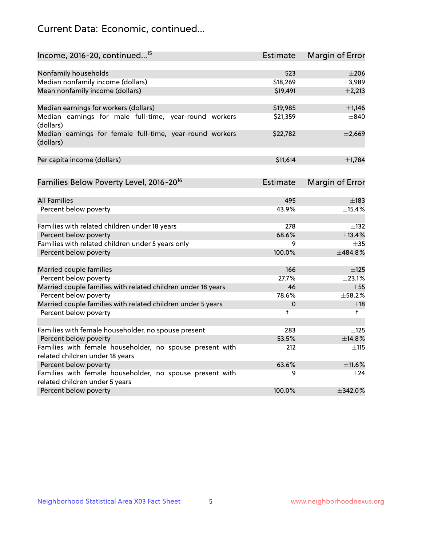## Current Data: Economic, continued...

| Income, 2016-20, continued <sup>15</sup>                                                   | <b>Estimate</b> | Margin of Error        |
|--------------------------------------------------------------------------------------------|-----------------|------------------------|
|                                                                                            |                 |                        |
| Nonfamily households                                                                       | 523             | $\pm 206$              |
| Median nonfamily income (dollars)                                                          | \$18,269        | ±3,989                 |
| Mean nonfamily income (dollars)                                                            | \$19,491        | $\pm 2,213$            |
| Median earnings for workers (dollars)                                                      | \$19,985        | $\pm$ 1,146            |
| Median earnings for male full-time, year-round workers<br>(dollars)                        | \$21,359        | $\pm$ 840              |
| Median earnings for female full-time, year-round workers<br>(dollars)                      | \$22,782        | ±2,669                 |
| Per capita income (dollars)                                                                | \$11,614        | ±1,784                 |
| Families Below Poverty Level, 2016-20 <sup>16</sup>                                        | <b>Estimate</b> | <b>Margin of Error</b> |
|                                                                                            |                 |                        |
| <b>All Families</b>                                                                        | 495             | $\pm$ 183              |
| Percent below poverty                                                                      | 43.9%           | ±15.4%                 |
| Families with related children under 18 years                                              | 278             | $\pm$ 132              |
| Percent below poverty                                                                      | 68.6%           | ±13.4%                 |
| Families with related children under 5 years only                                          | 9               | $\pm$ 35               |
| Percent below poverty                                                                      | 100.0%          | ±484.8%                |
| Married couple families                                                                    | 166             | $\pm$ 125              |
| Percent below poverty                                                                      | 27.7%           | ±23.1%                 |
| Married couple families with related children under 18 years                               | 46              | $\pm$ 55               |
| Percent below poverty                                                                      | 78.6%           | ±58.2%                 |
| Married couple families with related children under 5 years                                | 0               | $\pm$ 18               |
| Percent below poverty                                                                      | $\ddagger$      | $\ddagger$             |
|                                                                                            |                 |                        |
| Families with female householder, no spouse present                                        | 283             | $\pm$ 125              |
| Percent below poverty                                                                      | 53.5%           | ±14.8%                 |
| Families with female householder, no spouse present with                                   | 212             | $\pm$ 115              |
| related children under 18 years                                                            | 63.6%           | ±11.6%                 |
| Percent below poverty                                                                      |                 |                        |
| Families with female householder, no spouse present with<br>related children under 5 years | 9               | $\pm$ 24               |
| Percent below poverty                                                                      | 100.0%          | $\pm$ 342.0%           |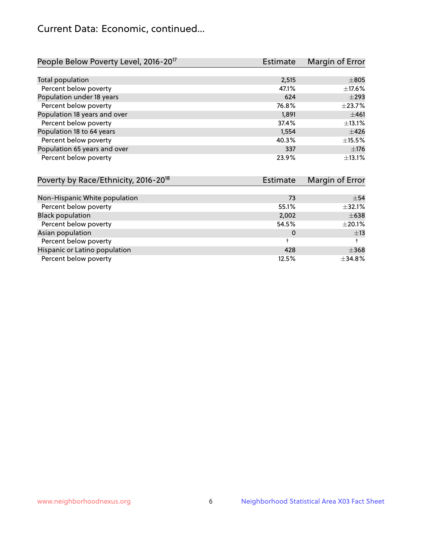## Current Data: Economic, continued...

| People Below Poverty Level, 2016-20 <sup>17</sup> | <b>Estimate</b>        | Margin of Error |
|---------------------------------------------------|------------------------|-----------------|
|                                                   |                        |                 |
| Total population                                  | 2,515                  | $\pm 805$       |
| Percent below poverty                             | 47.1%                  | $\pm$ 17.6%     |
| Population under 18 years                         | 624                    | $\pm$ 293       |
| Percent below poverty                             | 76.8%                  | $\pm$ 23.7%     |
| Population 18 years and over                      | 1,891                  | ±461            |
| Percent below poverty                             | 37.4%                  | $\pm$ 13.1%     |
| Population 18 to 64 years                         | 1,554                  | $\pm 426$       |
| Percent below poverty                             | 40.3%                  | ±15.5%          |
| Population 65 years and over                      | 337                    | $\pm$ 176       |
| Percent below poverty                             | 23.9%                  | ±13.1%          |
| Poverty by Race/Ethnicity 2016-20 <sup>18</sup>   | م <del>t</del> د Fetim | Margin of Error |

| POVERTY DY RACE/EDITION, 2016-20 | ESUTING | <b>MARTION</b> CHOI |
|----------------------------------|---------|---------------------|
|                                  |         |                     |
| Non-Hispanic White population    | 73      | $\pm$ 54            |
| Percent below poverty            | 55.1%   | ±32.1%              |
| <b>Black population</b>          | 2,002   | $\pm 638$           |
| Percent below poverty            | 54.5%   | $\pm 20.1\%$        |
| Asian population                 | 0       | $\pm$ 13            |
| Percent below poverty            |         |                     |
| Hispanic or Latino population    | 428     | $\pm$ 368           |
| Percent below poverty            | 12.5%   | ±34.8%              |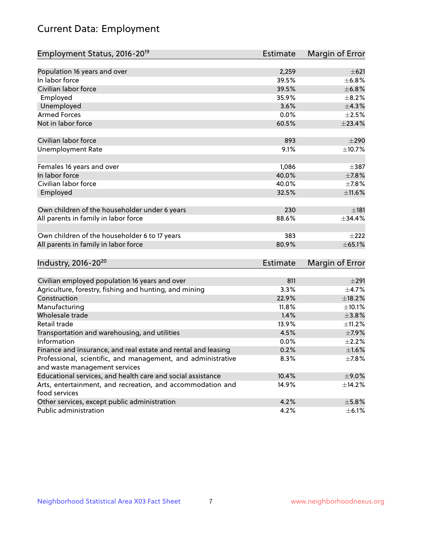# Current Data: Employment

| Employment Status, 2016-20 <sup>19</sup>                      | <b>Estimate</b> | Margin of Error |
|---------------------------------------------------------------|-----------------|-----------------|
|                                                               |                 |                 |
| Population 16 years and over                                  | 2,259           | $\pm 621$       |
| In labor force                                                | 39.5%           | ±6.8%           |
| Civilian labor force                                          | 39.5%           | ±6.8%           |
| Employed                                                      | 35.9%           | $\pm$ 8.2%      |
| Unemployed                                                    | 3.6%            | ±4.3%           |
| <b>Armed Forces</b>                                           | 0.0%            | $\pm 2.5\%$     |
| Not in labor force                                            | 60.5%           | ±23.4%          |
| Civilian labor force                                          | 893             | $\pm 290$       |
| <b>Unemployment Rate</b>                                      | 9.1%            | ±10.7%          |
|                                                               |                 |                 |
| Females 16 years and over                                     | 1,086           | $\pm$ 387       |
| In labor force                                                | 40.0%           | $\pm$ 7.8%      |
| Civilian labor force                                          | 40.0%           | $\pm$ 7.8%      |
| Employed                                                      | 32.5%           | ±11.6%          |
| Own children of the householder under 6 years                 | 230             | $\pm$ 181       |
| All parents in family in labor force                          | 88.6%           | ±34.4%          |
|                                                               |                 |                 |
| Own children of the householder 6 to 17 years                 | 383             | $\pm 222$       |
| All parents in family in labor force                          | 80.9%           | $\pm$ 65.1%     |
| Industry, 2016-20 <sup>20</sup>                               | <b>Estimate</b> | Margin of Error |
|                                                               |                 |                 |
| Civilian employed population 16 years and over                | 811             | $\pm 291$       |
| Agriculture, forestry, fishing and hunting, and mining        | 3.3%            | $\pm$ 4.7%      |
| Construction                                                  | 22.9%           | ±18.2%          |
| Manufacturing                                                 | 11.8%           | ±10.1%          |
| Wholesale trade                                               | 1.4%            | $\pm 3.8\%$     |
| Retail trade                                                  | 13.9%           | ±11.2%          |
| Transportation and warehousing, and utilities                 | 4.5%            | $\pm$ 7.9%      |
| Information                                                   | 0.0%            | $\pm 2.2\%$     |
| Finance and insurance, and real estate and rental and leasing | 0.2%            | $\pm1.6\%$      |
| Professional, scientific, and management, and administrative  | 8.3%            | $\pm$ 7.8%      |
| and waste management services                                 |                 |                 |
| Educational services, and health care and social assistance   | 10.4%           | $\pm$ 9.0%      |
| Arts, entertainment, and recreation, and accommodation and    | 14.9%           | ±14.2%          |
| food services                                                 |                 |                 |
| Other services, except public administration                  | 4.2%            | $\pm$ 5.8%      |
| Public administration                                         | 4.2%            | $\pm$ 6.1%      |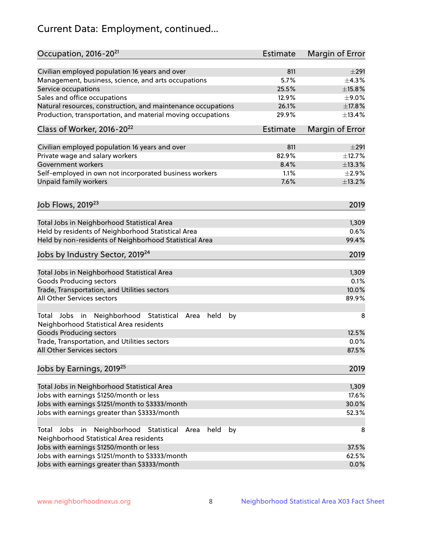# Current Data: Employment, continued...

| Occupation, 2016-20 <sup>21</sup>                                                                       | <b>Estimate</b> | Margin of Error |
|---------------------------------------------------------------------------------------------------------|-----------------|-----------------|
| Civilian employed population 16 years and over                                                          | 811             | $\pm 291$       |
| Management, business, science, and arts occupations                                                     | 5.7%            | $\pm$ 4.3%      |
| Service occupations                                                                                     | 25.5%           | $\pm$ 15.8%     |
| Sales and office occupations                                                                            | 12.9%           | $\pm$ 9.0%      |
| Natural resources, construction, and maintenance occupations                                            | 26.1%           | ±17.8%          |
| Production, transportation, and material moving occupations                                             | 29.9%           | ±13.4%          |
| Class of Worker, 2016-20 <sup>22</sup>                                                                  | Estimate        | Margin of Error |
| Civilian employed population 16 years and over                                                          | 811             | ±291            |
| Private wage and salary workers                                                                         | 82.9%           | ±12.7%          |
| Government workers                                                                                      | 8.4%            | ±13.3%          |
|                                                                                                         | 1.1%            | $\pm 2.9\%$     |
| Self-employed in own not incorporated business workers                                                  | 7.6%            |                 |
| Unpaid family workers                                                                                   |                 | ±13.2%          |
| Job Flows, 2019 <sup>23</sup>                                                                           |                 | 2019            |
| Total Jobs in Neighborhood Statistical Area                                                             |                 | 1,309           |
| Held by residents of Neighborhood Statistical Area                                                      |                 | 0.6%            |
| Held by non-residents of Neighborhood Statistical Area                                                  |                 | 99.4%           |
| Jobs by Industry Sector, 2019 <sup>24</sup>                                                             |                 | 2019            |
| Total Jobs in Neighborhood Statistical Area                                                             |                 | 1,309           |
| <b>Goods Producing sectors</b>                                                                          |                 | 0.1%            |
| Trade, Transportation, and Utilities sectors                                                            |                 | 10.0%           |
| All Other Services sectors                                                                              |                 | 89.9%           |
| Total Jobs in Neighborhood Statistical<br>held<br>by<br>Area<br>Neighborhood Statistical Area residents |                 | 8               |
| <b>Goods Producing sectors</b>                                                                          |                 | 12.5%           |
| Trade, Transportation, and Utilities sectors                                                            |                 | 0.0%            |
| All Other Services sectors                                                                              |                 | 87.5%           |
| Jobs by Earnings, 2019 <sup>25</sup>                                                                    |                 | 2019            |
| Total Jobs in Neighborhood Statistical Area                                                             |                 | 1,309           |
| Jobs with earnings \$1250/month or less                                                                 |                 | 17.6%           |
| Jobs with earnings \$1251/month to \$3333/month                                                         |                 | 30.0%           |
| Jobs with earnings greater than \$3333/month                                                            |                 | 52.3%           |
| Neighborhood Statistical<br>Jobs<br>in<br>Area<br>held<br>by<br>Total                                   |                 | 8               |
| Neighborhood Statistical Area residents                                                                 |                 |                 |
| Jobs with earnings \$1250/month or less                                                                 |                 | 37.5%           |
| Jobs with earnings \$1251/month to \$3333/month                                                         |                 | 62.5%           |
| Jobs with earnings greater than \$3333/month                                                            |                 | 0.0%            |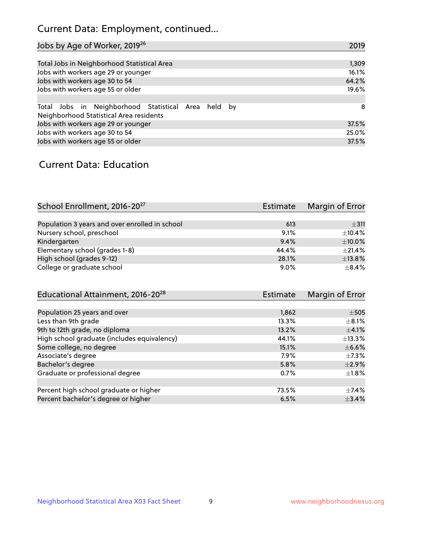## Current Data: Employment, continued...

| Jobs by Age of Worker, 2019 <sup>26</sup>                                                      | 2019  |
|------------------------------------------------------------------------------------------------|-------|
|                                                                                                |       |
| Total Jobs in Neighborhood Statistical Area                                                    | 1,309 |
| Jobs with workers age 29 or younger                                                            | 16.1% |
| Jobs with workers age 30 to 54                                                                 | 64.2% |
| Jobs with workers age 55 or older                                                              | 19.6% |
|                                                                                                |       |
| Total Jobs in Neighborhood Statistical Area held by<br>Neighborhood Statistical Area residents | -8    |
| Jobs with workers age 29 or younger                                                            | 37.5% |
| Jobs with workers age 30 to 54                                                                 | 25.0% |
| Jobs with workers age 55 or older                                                              | 37.5% |

### Current Data: Education

| School Enrollment, 2016-20 <sup>27</sup>       | Estimate | Margin of Error |
|------------------------------------------------|----------|-----------------|
|                                                |          |                 |
| Population 3 years and over enrolled in school | 613      | $\pm$ 311       |
| Nursery school, preschool                      | 9.1%     | ±10.4%          |
| Kindergarten                                   | 9.4%     | $\pm$ 10.0%     |
| Elementary school (grades 1-8)                 | 44.4%    | $+21.4%$        |
| High school (grades 9-12)                      | 28.1%    | $\pm$ 13.8%     |
| College or graduate school                     | 9.0%     | $+8.4%$         |

| Educational Attainment, 2016-20 <sup>28</sup> | Estimate | Margin of Error |
|-----------------------------------------------|----------|-----------------|
|                                               |          |                 |
| Population 25 years and over                  | 1,862    | $\pm$ 505       |
| Less than 9th grade                           | 13.3%    | $\pm$ 8.1%      |
| 9th to 12th grade, no diploma                 | 13.2%    | $\pm$ 4.1%      |
| High school graduate (includes equivalency)   | 44.1%    | $\pm$ 13.3%     |
| Some college, no degree                       | 15.1%    | $\pm$ 6.6%      |
| Associate's degree                            | 7.9%     | $\pm$ 7.3%      |
| Bachelor's degree                             | 5.8%     | $\pm 2.9\%$     |
| Graduate or professional degree               | 0.7%     | $\pm 1.8\%$     |
|                                               |          |                 |
| Percent high school graduate or higher        | 73.5%    | $\pm$ 7.4%      |
| Percent bachelor's degree or higher           | 6.5%     | ±3.4%           |
|                                               |          |                 |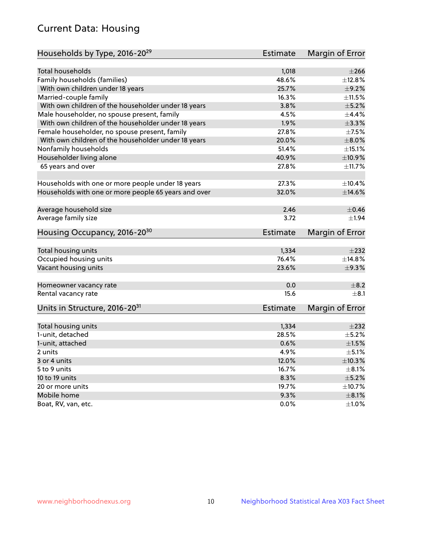## Current Data: Housing

| Households by Type, 2016-20 <sup>29</sup>            | <b>Estimate</b> | Margin of Error |
|------------------------------------------------------|-----------------|-----------------|
|                                                      |                 |                 |
| <b>Total households</b>                              | 1,018           | $\pm 266$       |
| Family households (families)                         | 48.6%           | $\pm$ 12.8%     |
| With own children under 18 years                     | 25.7%           | $\pm$ 9.2%      |
| Married-couple family                                | 16.3%           | ±11.5%          |
| With own children of the householder under 18 years  | 3.8%            | $\pm$ 5.2%      |
| Male householder, no spouse present, family          | 4.5%            | $\pm$ 4.4%      |
| With own children of the householder under 18 years  | 1.9%            | $\pm 3.3\%$     |
| Female householder, no spouse present, family        | 27.8%           | $\pm$ 7.5%      |
| With own children of the householder under 18 years  | 20.0%           | $\pm 8.0\%$     |
| Nonfamily households                                 | 51.4%           | $\pm$ 15.1%     |
| Householder living alone                             | 40.9%           | ±10.9%          |
| 65 years and over                                    | 27.8%           | ±11.7%          |
|                                                      |                 |                 |
| Households with one or more people under 18 years    | 27.3%           | ±10.4%          |
| Households with one or more people 65 years and over | 32.0%           | ±14.6%          |
|                                                      | 2.46            | $\pm$ 0.46      |
| Average household size                               |                 |                 |
| Average family size                                  | 3.72            | $\pm 1.94$      |
| Housing Occupancy, 2016-20 <sup>30</sup>             | <b>Estimate</b> | Margin of Error |
| Total housing units                                  | 1,334           | $\pm 232$       |
| Occupied housing units                               | 76.4%           | $\pm$ 14.8%     |
| Vacant housing units                                 | 23.6%           | $\pm$ 9.3%      |
|                                                      |                 |                 |
| Homeowner vacancy rate                               | 0.0             | $\pm$ 8.2       |
| Rental vacancy rate                                  | 15.6            | $\pm$ 8.1       |
| Units in Structure, 2016-20 <sup>31</sup>            | <b>Estimate</b> | Margin of Error |
|                                                      |                 |                 |
| Total housing units                                  | 1,334           | $\pm 232$       |
| 1-unit, detached                                     | 28.5%           | $\pm$ 5.2%      |
| 1-unit, attached                                     | 0.6%            | $\pm1.5\%$      |
| 2 units                                              | 4.9%            | $\pm$ 5.1%      |
| 3 or 4 units                                         | 12.0%           | ±10.3%          |
| 5 to 9 units                                         | 16.7%           | $\pm 8.1\%$     |
| 10 to 19 units                                       | 8.3%            | $\pm$ 5.2%      |
| 20 or more units                                     | 19.7%           | ±10.7%          |
| Mobile home                                          | 9.3%            | $\pm$ 8.1%      |
| Boat, RV, van, etc.                                  | $0.0\%$         | $\pm 1.0\%$     |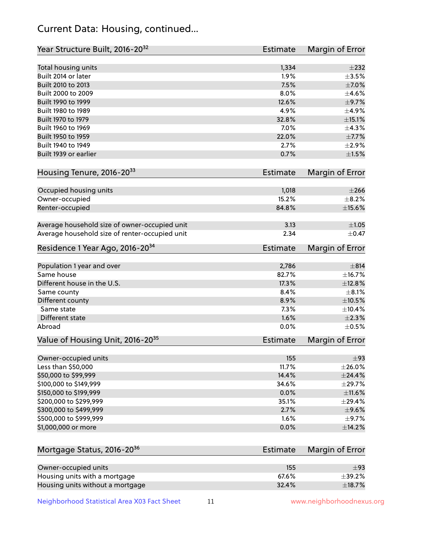## Current Data: Housing, continued...

| Year Structure Built, 2016-20 <sup>32</sup>           | <b>Estimate</b> | <b>Margin of Error</b> |
|-------------------------------------------------------|-----------------|------------------------|
| Total housing units                                   | 1,334           | $\pm 232$              |
| Built 2014 or later                                   | 1.9%            | $\pm$ 3.5%             |
| Built 2010 to 2013                                    | 7.5%            | $\pm$ 7.0%             |
| Built 2000 to 2009                                    | 8.0%            | $\pm$ 4.6%             |
| Built 1990 to 1999                                    | 12.6%           | $\pm$ 9.7%             |
| Built 1980 to 1989                                    | 4.9%            | $\pm$ 4.9%             |
| Built 1970 to 1979                                    | 32.8%           | ±15.1%                 |
| Built 1960 to 1969                                    | 7.0%            | ±4.3%                  |
| Built 1950 to 1959                                    | 22.0%           | $\pm$ 7.7%             |
| Built 1940 to 1949                                    | 2.7%            | $\pm 2.9\%$            |
| Built 1939 or earlier                                 | 0.7%            | $\pm1.5\%$             |
| Housing Tenure, 2016-2033                             | Estimate        | <b>Margin of Error</b> |
|                                                       |                 |                        |
| Occupied housing units                                | 1,018           | $\pm 266$              |
| Owner-occupied                                        | 15.2%           | $\pm$ 8.2%             |
| Renter-occupied                                       | 84.8%           | $\pm$ 15.6%            |
| Average household size of owner-occupied unit         | 3.13            | ±1.05                  |
| Average household size of renter-occupied unit        | 2.34            | $\pm$ 0.47             |
| Residence 1 Year Ago, 2016-20 <sup>34</sup>           | <b>Estimate</b> | <b>Margin of Error</b> |
| Population 1 year and over                            | 2,786           | $\pm$ 814              |
| Same house                                            | 82.7%           | ±16.7%                 |
| Different house in the U.S.                           | 17.3%           | ±12.8%                 |
| Same county                                           | 8.4%            | $\pm$ 8.1%             |
| Different county                                      | 8.9%            | $\pm$ 10.5%            |
| Same state                                            | 7.3%            | ±10.4%                 |
| Different state                                       | 1.6%            | $\pm 2.3\%$            |
| Abroad                                                | 0.0%            | $\pm$ 0.5%             |
| Value of Housing Unit, 2016-20 <sup>35</sup>          | <b>Estimate</b> | Margin of Error        |
| Owner-occupied units                                  | 155             | ±93                    |
| Less than \$50,000                                    | 11.7%           | $\pm 26.0\%$           |
| \$50,000 to \$99,999                                  | 14.4%           | $±$ 24.4%              |
| \$100,000 to \$149,999                                | 34.6%           | ±29.7%                 |
| \$150,000 to \$199,999                                | 0.0%            | $\pm$ 11.6%            |
| \$200,000 to \$299,999                                | 35.1%           | ±29.4%                 |
| \$300,000 to \$499,999                                | 2.7%            | $\pm$ 9.6%             |
| \$500,000 to \$999,999                                | 1.6%            | $\pm$ 9.7%             |
| \$1,000,000 or more                                   | 0.0%            | ±14.2%                 |
| Mortgage Status, 2016-20 <sup>36</sup>                | Estimate        | Margin of Error        |
|                                                       | 155             | ±93                    |
| Owner-occupied units<br>Housing units with a mortgage | 67.6%           | ±39.2%                 |
|                                                       |                 |                        |

Neighborhood Statistical Area X03 Fact Sheet 11 11 www.neighborhoodnexus.org

Housing units without a mortgage  $\pm 18.7\%$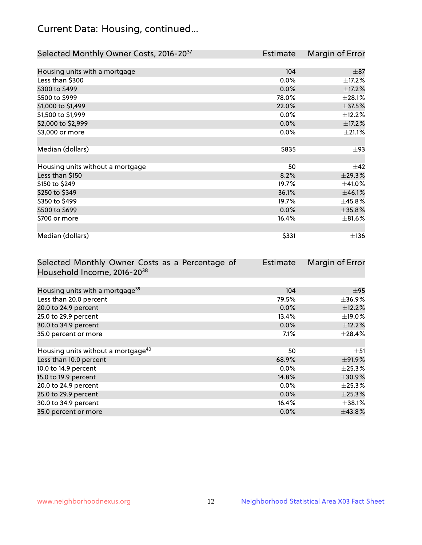## Current Data: Housing, continued...

| Selected Monthly Owner Costs, 2016-20 <sup>37</sup> | Estimate | Margin of Error |
|-----------------------------------------------------|----------|-----------------|
|                                                     |          |                 |
| Housing units with a mortgage                       | 104      | $\pm$ 87        |
| Less than \$300                                     | 0.0%     | $\pm$ 17.2%     |
| \$300 to \$499                                      | 0.0%     | ±17.2%          |
| \$500 to \$999                                      | 78.0%    | ±28.1%          |
| \$1,000 to \$1,499                                  | 22.0%    | $\pm$ 37.5%     |
| \$1,500 to \$1,999                                  | 0.0%     | ±12.2%          |
| \$2,000 to \$2,999                                  | 0.0%     | $\pm$ 17.2%     |
| \$3,000 or more                                     | 0.0%     | $\pm 21.1\%$    |
|                                                     |          |                 |
| Median (dollars)                                    | \$835    | $\pm$ 93        |
|                                                     |          |                 |
| Housing units without a mortgage                    | 50       | $\pm$ 42        |
| Less than \$150                                     | 8.2%     | ±29.3%          |
| \$150 to \$249                                      | 19.7%    | ±41.0%          |
| \$250 to \$349                                      | 36.1%    | ±46.1%          |
| \$350 to \$499                                      | 19.7%    | ±45.8%          |
| \$500 to \$699                                      | 0.0%     | $\pm 35.8\%$    |
| \$700 or more                                       | 16.4%    | $\pm$ 81.6%     |
|                                                     |          |                 |
| Median (dollars)                                    | \$331    | $\pm$ 136       |

| Selected Monthly Owner Costs as a Percentage of | Estimate | Margin of Error |
|-------------------------------------------------|----------|-----------------|
| Household Income, 2016-20 <sup>38</sup>         |          |                 |
|                                                 |          |                 |
| Housing units with a mortgage <sup>39</sup>     | 104      | $\pm$ 95        |
| Less than 20.0 percent                          | 79.5%    | ±36.9%          |
| 20.0 to 24.9 percent                            | 0.0%     | ±12.2%          |
| 25.0 to 29.9 percent                            | 13.4%    | $\pm$ 19.0%     |
| 30.0 to 34.9 percent                            | 0.0%     | $\pm$ 12.2%     |
| 35.0 percent or more                            | $7.1\%$  | $\pm$ 28.4%     |
|                                                 |          |                 |
| Housing units without a mortgage <sup>40</sup>  | 50       | $\pm$ 51        |
| Less than 10.0 percent                          | 68.9%    | ±91.9%          |
| 10.0 to 14.9 percent                            | $0.0\%$  | $\pm$ 25.3%     |
| 15.0 to 19.9 percent                            | 14.8%    | $\pm 30.9\%$    |
| 20.0 to 24.9 percent                            | $0.0\%$  | $\pm$ 25.3%     |
| 25.0 to 29.9 percent                            | 0.0%     | ±25.3%          |
| 30.0 to 34.9 percent                            | 16.4%    | $\pm$ 38.1%     |
| 35.0 percent or more                            | $0.0\%$  | $\pm$ 43.8%     |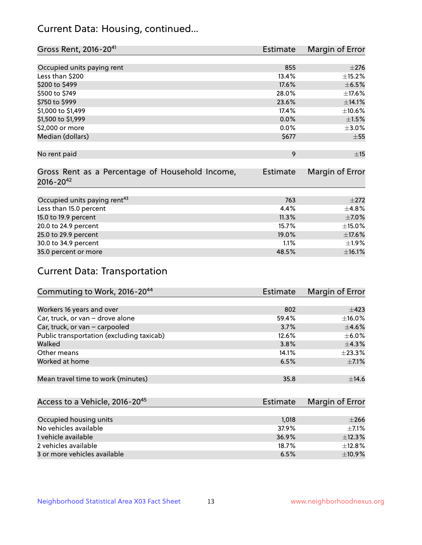## Current Data: Housing, continued...

| Gross Rent, 2016-20 <sup>41</sup>               | <b>Estimate</b> | Margin of Error |
|-------------------------------------------------|-----------------|-----------------|
|                                                 |                 |                 |
| Occupied units paying rent                      | 855             | $\pm 276$       |
| Less than \$200                                 | 13.4%           | ±15.2%          |
| \$200 to \$499                                  | 17.6%           | $\pm$ 6.5%      |
| \$500 to \$749                                  | 28.0%           | ±17.6%          |
| \$750 to \$999                                  | 23.6%           | ±14.1%          |
| \$1,000 to \$1,499                              | 17.4%           | ±10.6%          |
| \$1,500 to \$1,999                              | 0.0%            | $\pm$ 1.5%      |
| \$2,000 or more                                 | 0.0%            | $\pm 3.0\%$     |
| Median (dollars)                                | \$677           | $\pm 55$        |
|                                                 |                 |                 |
| No rent paid                                    | 9               | ±15             |
| Gross Rent as a Percentage of Household Income, | <b>Estimate</b> | Margin of Error |
| $2016 - 20^{42}$                                |                 |                 |
|                                                 |                 |                 |
| Occupied units paying rent <sup>43</sup>        | 763             | $\pm 272$       |
| Less than 15.0 percent                          | 4.4%            | ±4.8%           |
| 15.0 to 19.9 percent                            | 11.3%           | $\pm$ 7.0%      |
| 20.0 to 24.9 percent                            | 15.7%           | $\pm$ 15.0%     |
| 25.0 to 29.9 percent                            | 19.0%           | ±17.6%          |
| 30.0 to 34.9 percent                            | 1.1%            | ±1.9%           |
| 35.0 percent or more                            | 48.5%           | ±16.1%          |

## Current Data: Transportation

| Commuting to Work, 2016-20 <sup>44</sup>  | Estimate | Margin of Error |
|-------------------------------------------|----------|-----------------|
|                                           |          |                 |
| Workers 16 years and over                 | 802      | $\pm$ 423       |
| Car, truck, or van - drove alone          | 59.4%    | $\pm$ 16.0%     |
| Car, truck, or van - carpooled            | 3.7%     | $\pm$ 4.6%      |
| Public transportation (excluding taxicab) | 12.6%    | $\pm$ 6.0%      |
| Walked                                    | 3.8%     | $\pm$ 4.3%      |
| Other means                               | 14.1%    | $\pm$ 23.3%     |
| Worked at home                            | 6.5%     | $\pm$ 7.1%      |
|                                           |          |                 |
| Mean travel time to work (minutes)        | 35.8     | ±14.6           |

| Access to a Vehicle, 2016-20 <sup>45</sup> | <b>Estimate</b> | Margin of Error |
|--------------------------------------------|-----------------|-----------------|
|                                            |                 |                 |
| Occupied housing units                     | 1,018           | $\pm 266$       |
| No vehicles available                      | 37.9%           | $+7.1%$         |
| 1 vehicle available                        | 36.9%           | ±12.3%          |
| 2 vehicles available                       | 18.7%           | $+12.8%$        |
| 3 or more vehicles available               | 6.5%            | $+10.9%$        |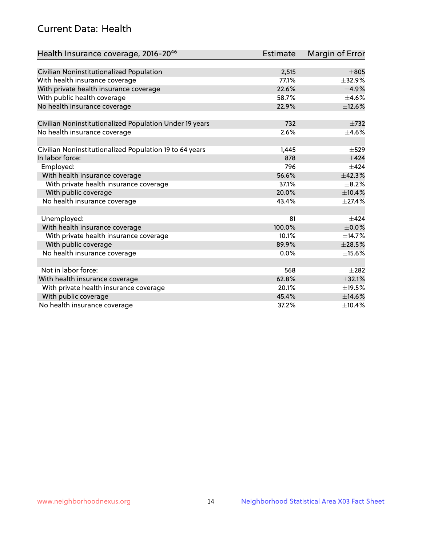## Current Data: Health

| Health Insurance coverage, 2016-2046                    | <b>Estimate</b> | <b>Margin of Error</b> |
|---------------------------------------------------------|-----------------|------------------------|
|                                                         |                 |                        |
| Civilian Noninstitutionalized Population                | 2,515           | $\pm 805$              |
| With health insurance coverage                          | 77.1%           | ±32.9%                 |
| With private health insurance coverage                  | 22.6%           | $\pm$ 4.9%             |
| With public health coverage                             | 58.7%           | $\pm$ 4.6%             |
| No health insurance coverage                            | 22.9%           | ±12.6%                 |
| Civilian Noninstitutionalized Population Under 19 years | 732             | $\pm 732$              |
| No health insurance coverage                            | 2.6%            | $\pm$ 4.6%             |
|                                                         |                 |                        |
| Civilian Noninstitutionalized Population 19 to 64 years | 1,445           | $\pm$ 529              |
| In labor force:                                         | 878             | ±424                   |
| Employed:                                               | 796             | $+424$                 |
| With health insurance coverage                          | 56.6%           | ±42.3%                 |
| With private health insurance coverage                  | 37.1%           | $\pm$ 8.2%             |
| With public coverage                                    | 20.0%           | ±10.4%                 |
| No health insurance coverage                            | 43.4%           | $\pm$ 27.4%            |
|                                                         | 81              | $+424$                 |
| Unemployed:                                             | 100.0%          | $\pm$ 0.0%             |
| With health insurance coverage                          | 10.1%           | ±14.7%                 |
| With private health insurance coverage                  |                 |                        |
| With public coverage                                    | 89.9%           | $\pm 28.5\%$           |
| No health insurance coverage                            | $0.0\%$         | $\pm$ 15.6%            |
| Not in labor force:                                     | 568             | $+282$                 |
| With health insurance coverage                          | 62.8%           | ±32.1%                 |
| With private health insurance coverage                  | 20.1%           | ±19.5%                 |
| With public coverage                                    | 45.4%           | ±14.6%                 |
| No health insurance coverage                            | 37.2%           | ±10.4%                 |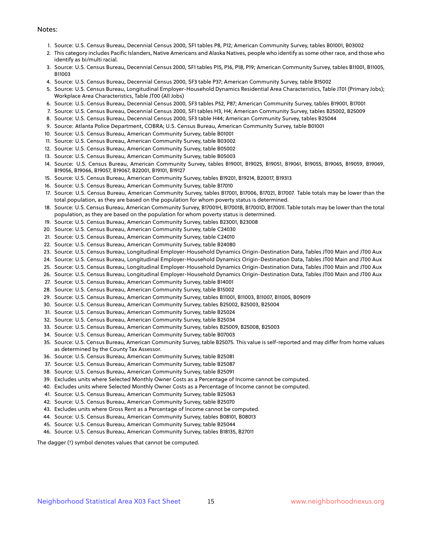#### Notes:

- 1. Source: U.S. Census Bureau, Decennial Census 2000, SF1 tables P8, P12; American Community Survey, tables B01001, B03002
- 2. This category includes Pacific Islanders, Native Americans and Alaska Natives, people who identify as some other race, and those who identify as bi/multi racial.
- 3. Source: U.S. Census Bureau, Decennial Census 2000, SF1 tables P15, P16, P18, P19; American Community Survey, tables B11001, B11005, B11003
- 4. Source: U.S. Census Bureau, Decennial Census 2000, SF3 table P37; American Community Survey, table B15002
- 5. Source: U.S. Census Bureau, Longitudinal Employer-Household Dynamics Residential Area Characteristics, Table JT01 (Primary Jobs); Workplace Area Characteristics, Table JT00 (All Jobs)
- 6. Source: U.S. Census Bureau, Decennial Census 2000, SF3 tables P52, P87; American Community Survey, tables B19001, B17001
- 7. Source: U.S. Census Bureau, Decennial Census 2000, SF1 tables H3, H4; American Community Survey, tables B25002, B25009
- 8. Source: U.S. Census Bureau, Decennial Census 2000, SF3 table H44; American Community Survey, tables B25044
- 9. Source: Atlanta Police Department, COBRA; U.S. Census Bureau, American Community Survey, table B01001
- 10. Source: U.S. Census Bureau, American Community Survey, table B01001
- 11. Source: U.S. Census Bureau, American Community Survey, table B03002
- 12. Source: U.S. Census Bureau, American Community Survey, table B05002
- 13. Source: U.S. Census Bureau, American Community Survey, table B05003
- 14. Source: U.S. Census Bureau, American Community Survey, tables B19001, B19025, B19051, B19061, B19055, B19065, B19059, B19069, B19056, B19066, B19057, B19067, B22001, B19101, B19127
- 15. Source: U.S. Census Bureau, American Community Survey, tables B19201, B19214, B20017, B19313
- 16. Source: U.S. Census Bureau, American Community Survey, table B17010
- 17. Source: U.S. Census Bureau, American Community Survey, tables B17001, B17006, B17021, B17007. Table totals may be lower than the total population, as they are based on the population for whom poverty status is determined.
- 18. Source: U.S. Census Bureau, American Community Survey, B17001H, B17001B, B17001D, B17001I. Table totals may be lower than the total population, as they are based on the population for whom poverty status is determined.
- 19. Source: U.S. Census Bureau, American Community Survey, tables B23001, B23008
- 20. Source: U.S. Census Bureau, American Community Survey, table C24030
- 21. Source: U.S. Census Bureau, American Community Survey, table C24010
- 22. Source: U.S. Census Bureau, American Community Survey, table B24080
- 23. Source: U.S. Census Bureau, Longitudinal Employer-Household Dynamics Origin-Destination Data, Tables JT00 Main and JT00 Aux
- 24. Source: U.S. Census Bureau, Longitudinal Employer-Household Dynamics Origin-Destination Data, Tables JT00 Main and JT00 Aux
- 25. Source: U.S. Census Bureau, Longitudinal Employer-Household Dynamics Origin-Destination Data, Tables JT00 Main and JT00 Aux
- 26. Source: U.S. Census Bureau, Longitudinal Employer-Household Dynamics Origin-Destination Data, Tables JT00 Main and JT00 Aux
- 27. Source: U.S. Census Bureau, American Community Survey, table B14001
- 28. Source: U.S. Census Bureau, American Community Survey, table B15002
- 29. Source: U.S. Census Bureau, American Community Survey, tables B11001, B11003, B11007, B11005, B09019
- 30. Source: U.S. Census Bureau, American Community Survey, tables B25002, B25003, B25004
- 31. Source: U.S. Census Bureau, American Community Survey, table B25024
- 32. Source: U.S. Census Bureau, American Community Survey, table B25034
- 33. Source: U.S. Census Bureau, American Community Survey, tables B25009, B25008, B25003
- 34. Source: U.S. Census Bureau, American Community Survey, table B07003
- 35. Source: U.S. Census Bureau, American Community Survey, table B25075. This value is self-reported and may differ from home values as determined by the County Tax Assessor.
- 36. Source: U.S. Census Bureau, American Community Survey, table B25081
- 37. Source: U.S. Census Bureau, American Community Survey, table B25087
- 38. Source: U.S. Census Bureau, American Community Survey, table B25091
- 39. Excludes units where Selected Monthly Owner Costs as a Percentage of Income cannot be computed.
- 40. Excludes units where Selected Monthly Owner Costs as a Percentage of Income cannot be computed.
- 41. Source: U.S. Census Bureau, American Community Survey, table B25063
- 42. Source: U.S. Census Bureau, American Community Survey, table B25070
- 43. Excludes units where Gross Rent as a Percentage of Income cannot be computed.
- 44. Source: U.S. Census Bureau, American Community Survey, tables B08101, B08013
- 45. Source: U.S. Census Bureau, American Community Survey, table B25044
- 46. Source: U.S. Census Bureau, American Community Survey, tables B18135, B27011

The dagger (†) symbol denotes values that cannot be computed.